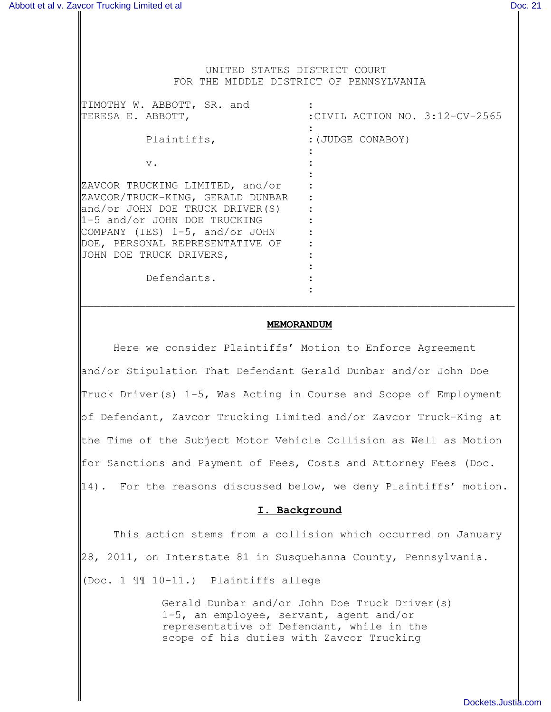## UNITED STATES DISTRICT COURT FOR THE MIDDLE DISTRICT OF PENNSYLVANIA

| TIMOTHY W. ABBOTT, SR. and<br>TERESA E. ABBOTT,                                                                                                                                                                                        | :CIVIL ACTION NO. 3:12-CV-2565 |
|----------------------------------------------------------------------------------------------------------------------------------------------------------------------------------------------------------------------------------------|--------------------------------|
| Plaintiffs,                                                                                                                                                                                                                            | :(JUDGE CONABOY)               |
| $V$ .                                                                                                                                                                                                                                  |                                |
| ZAVCOR TRUCKING LIMITED, and/or<br>ZAVCOR/TRUCK-KING, GERALD DUNBAR<br>and/or JOHN DOE TRUCK DRIVER(S)<br>1-5 and/or JOHN DOE TRUCKING<br>COMPANY (IES) 1-5, and/or JOHN<br>DOE, PERSONAL REPRESENTATIVE OF<br>JOHN DOE TRUCK DRIVERS, |                                |
| Defendants.                                                                                                                                                                                                                            |                                |

### **MEMORANDUM**

 $\mathcal{L}_\text{max} = \mathcal{L}_\text{max} = \mathcal{L}_\text{max} = \mathcal{L}_\text{max} = \mathcal{L}_\text{max} = \mathcal{L}_\text{max} = \mathcal{L}_\text{max} = \mathcal{L}_\text{max} = \mathcal{L}_\text{max} = \mathcal{L}_\text{max} = \mathcal{L}_\text{max} = \mathcal{L}_\text{max} = \mathcal{L}_\text{max} = \mathcal{L}_\text{max} = \mathcal{L}_\text{max} = \mathcal{L}_\text{max} = \mathcal{L}_\text{max} = \mathcal{L}_\text{max} = \mathcal{$ 

Here we consider Plaintiffs' Motion to Enforce Agreement and/or Stipulation That Defendant Gerald Dunbar and/or John Doe Truck Driver(s) 1-5, Was Acting in Course and Scope of Employment of Defendant, Zavcor Trucking Limited and/or Zavcor Truck-King at the Time of the Subject Motor Vehicle Collision as Well as Motion for Sanctions and Payment of Fees, Costs and Attorney Fees (Doc. 14). For the reasons discussed below, we deny Plaintiffs' motion.

# **I. Background**

This action stems from a collision which occurred on January 28, 2011, on Interstate 81 in Susquehanna County, Pennsylvania. (Doc. 1 ¶¶ 10-11.) Plaintiffs allege

> Gerald Dunbar and/or John Doe Truck Driver(s) 1-5, an employee, servant, agent and/or representative of Defendant, while in the scope of his duties with Zavcor Trucking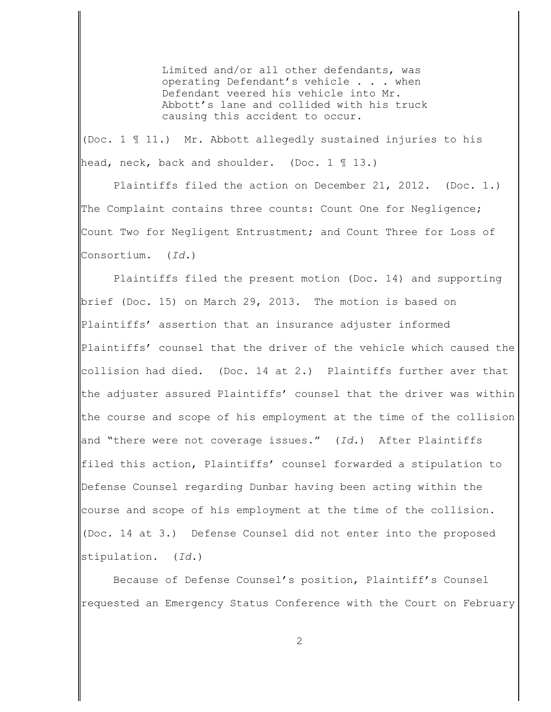Limited and/or all other defendants, was operating Defendant's vehicle . . . when Defendant veered his vehicle into Mr. Abbott's lane and collided with his truck causing this accident to occur.

(Doc. 1 ¶ 11.) Mr. Abbott allegedly sustained injuries to his head, neck, back and shoulder. (Doc. 1 113.)

Plaintiffs filed the action on December 21, 2012. (Doc. 1.) The Complaint contains three counts: Count One for Negligence; Count Two for Negligent Entrustment; and Count Three for Loss of Consortium. (*Id.*)

Plaintiffs filed the present motion (Doc. 14) and supporting brief (Doc. 15) on March 29, 2013. The motion is based on Plaintiffs' assertion that an insurance adjuster informed Plaintiffs' counsel that the driver of the vehicle which caused the collision had died. (Doc. 14 at 2.) Plaintiffs further aver that the adjuster assured Plaintiffs' counsel that the driver was within the course and scope of his employment at the time of the collision and "there were not coverage issues." (*Id.*) After Plaintiffs filed this action, Plaintiffs' counsel forwarded a stipulation to Defense Counsel regarding Dunbar having been acting within the course and scope of his employment at the time of the collision. (Doc. 14 at 3.) Defense Counsel did not enter into the proposed stipulation. (*Id.*)

Because of Defense Counsel's position, Plaintiff's Counsel requested an Emergency Status Conference with the Court on February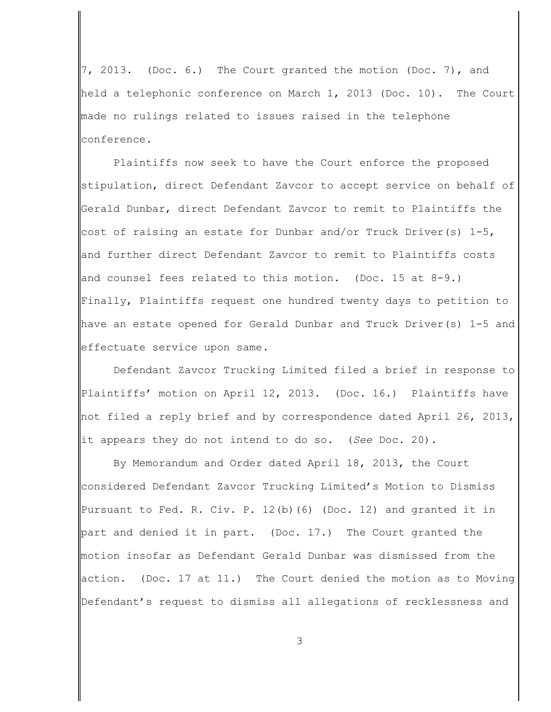7, 2013. (Doc. 6.) The Court granted the motion (Doc. 7), and held a telephonic conference on March 1, 2013 (Doc. 10). The Court made no rulings related to issues raised in the telephone conference.

Plaintiffs now seek to have the Court enforce the proposed stipulation, direct Defendant Zavcor to accept service on behalf of Gerald Dunbar, direct Defendant Zavcor to remit to Plaintiffs the cost of raising an estate for Dunbar and/or Truck Driver(s)  $1-5$ , and further direct Defendant Zavcor to remit to Plaintiffs costs and counsel fees related to this motion. (Doc. 15 at  $8-9.$ ) Finally, Plaintiffs request one hundred twenty days to petition to have an estate opened for Gerald Dunbar and Truck Driver(s) 1-5 and effectuate service upon same.

Defendant Zavcor Trucking Limited filed a brief in response to Plaintiffs' motion on April 12, 2013. (Doc. 16.) Plaintiffs have not filed a reply brief and by correspondence dated April 26, 2013, it appears they do not intend to do so. (*See* Doc. 20).

By Memorandum and Order dated April 18, 2013, the Court considered Defendant Zavcor Trucking Limited's Motion to Dismiss Pursuant to Fed. R. Civ. P. 12(b)(6) (Doc. 12) and granted it in part and denied it in part. (Doc. 17.) The Court granted the motion insofar as Defendant Gerald Dunbar was dismissed from the action. (Doc. 17 at 11.) The Court denied the motion as to Moving Defendant's request to dismiss all allegations of recklessness and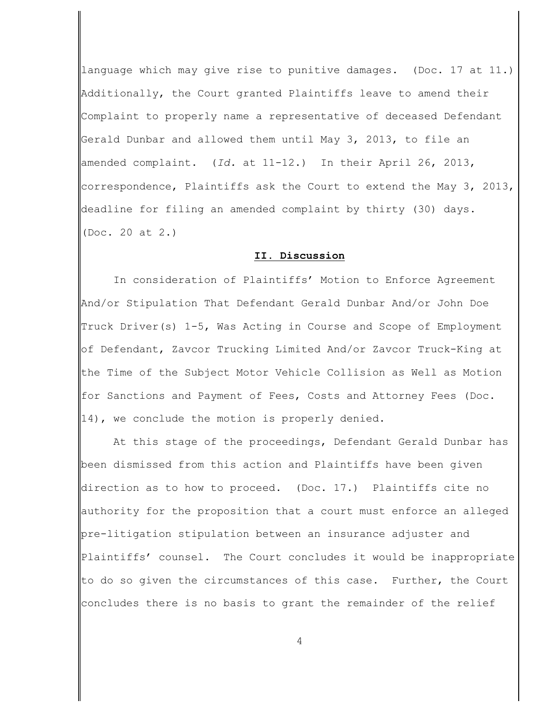language which may give rise to punitive damages. (Doc. 17 at 11.) Additionally, the Court granted Plaintiffs leave to amend their Complaint to properly name a representative of deceased Defendant Gerald Dunbar and allowed them until May 3, 2013, to file an amended complaint. (*Id.* at 11-12.) In their April 26, 2013, correspondence, Plaintiffs ask the Court to extend the May 3, 2013, deadline for filing an amended complaint by thirty (30) days. (Doc. 20 at 2.)

#### **II. Discussion**

In consideration of Plaintiffs' Motion to Enforce Agreement And/or Stipulation That Defendant Gerald Dunbar And/or John Doe Truck Driver(s) 1-5, Was Acting in Course and Scope of Employment of Defendant, Zavcor Trucking Limited And/or Zavcor Truck-King at the Time of the Subject Motor Vehicle Collision as Well as Motion for Sanctions and Payment of Fees, Costs and Attorney Fees (Doc. 14), we conclude the motion is properly denied.

At this stage of the proceedings, Defendant Gerald Dunbar has been dismissed from this action and Plaintiffs have been given direction as to how to proceed. (Doc. 17.) Plaintiffs cite no authority for the proposition that a court must enforce an alleged pre-litigation stipulation between an insurance adjuster and Plaintiffs' counsel. The Court concludes it would be inappropriate to do so given the circumstances of this case. Further, the Court concludes there is no basis to grant the remainder of the relief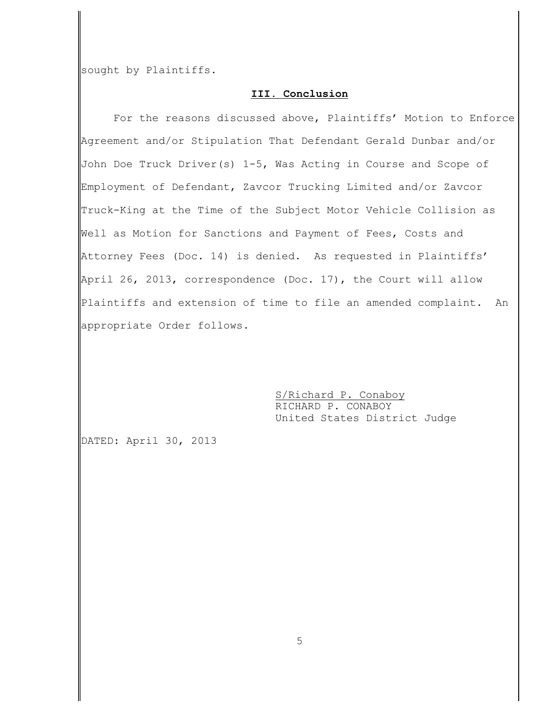sought by Plaintiffs.

# **III. Conclusion**

For the reasons discussed above, Plaintiffs' Motion to Enforce Agreement and/or Stipulation That Defendant Gerald Dunbar and/or John Doe Truck Driver(s) 1-5, Was Acting in Course and Scope of Employment of Defendant, Zavcor Trucking Limited and/or Zavcor Truck-King at the Time of the Subject Motor Vehicle Collision as Well as Motion for Sanctions and Payment of Fees, Costs and Attorney Fees (Doc. 14) is denied. As requested in Plaintiffs' April 26, 2013, correspondence (Doc. 17), the Court will allow Plaintiffs and extension of time to file an amended complaint. An appropriate Order follows.

> S/Richard P. Conaboy RICHARD P. CONABOY United States District Judge

DATED: April 30, 2013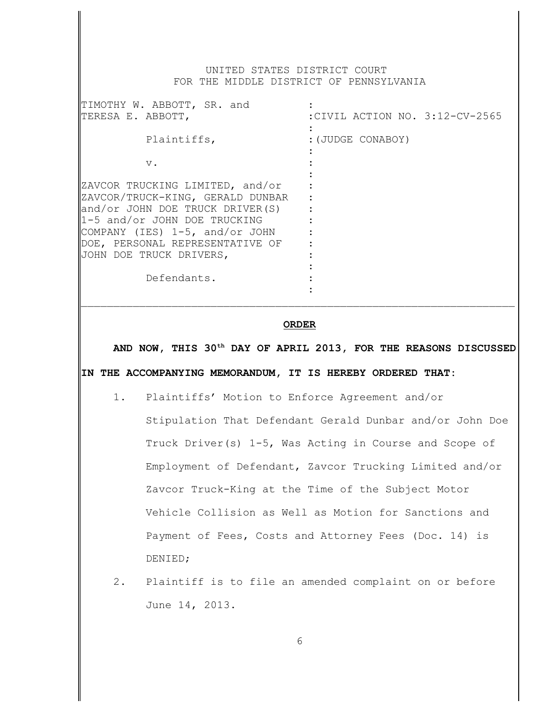## UNITED STATES DISTRICT COURT FOR THE MIDDLE DISTRICT OF PENNSYLVANIA

| TIMOTHY W. ABBOTT, SR. and<br>TERESA E. ABBOTT,                                                                                                                                                                                        | :CIVIL ACTION NO. 3:12-CV-2565 |
|----------------------------------------------------------------------------------------------------------------------------------------------------------------------------------------------------------------------------------------|--------------------------------|
| Plaintiffs,                                                                                                                                                                                                                            | : (JUDGE CONABOY)              |
| $V$ .                                                                                                                                                                                                                                  |                                |
| ZAVCOR TRUCKING LIMITED, and/or<br>ZAVCOR/TRUCK-KING, GERALD DUNBAR<br>and/or JOHN DOE TRUCK DRIVER(S)<br>1-5 and/or JOHN DOE TRUCKING<br>COMPANY (IES) 1-5, and/or JOHN<br>DOE, PERSONAL REPRESENTATIVE OF<br>JOHN DOE TRUCK DRIVERS, |                                |
| Defendants.                                                                                                                                                                                                                            |                                |

### **ORDER**

 $\mathcal{L}_\text{max} = \mathcal{L}_\text{max} = \mathcal{L}_\text{max} = \mathcal{L}_\text{max} = \mathcal{L}_\text{max} = \mathcal{L}_\text{max} = \mathcal{L}_\text{max} = \mathcal{L}_\text{max} = \mathcal{L}_\text{max} = \mathcal{L}_\text{max} = \mathcal{L}_\text{max} = \mathcal{L}_\text{max} = \mathcal{L}_\text{max} = \mathcal{L}_\text{max} = \mathcal{L}_\text{max} = \mathcal{L}_\text{max} = \mathcal{L}_\text{max} = \mathcal{L}_\text{max} = \mathcal{$ 

AND NOW, THIS 30<sup>th</sup> DAY OF APRIL 2013, FOR THE REASONS DISCUSSED **IN THE ACCOMPANYING MEMORANDUM, IT IS HEREBY ORDERED THAT:**

- 1. Plaintiffs' Motion to Enforce Agreement and/or Stipulation That Defendant Gerald Dunbar and/or John Doe Truck Driver(s) 1-5, Was Acting in Course and Scope of Employment of Defendant, Zavcor Trucking Limited and/or Zavcor Truck-King at the Time of the Subject Motor Vehicle Collision as Well as Motion for Sanctions and Payment of Fees, Costs and Attorney Fees (Doc. 14) is DENIED;
- 2. Plaintiff is to file an amended complaint on or before June 14, 2013.